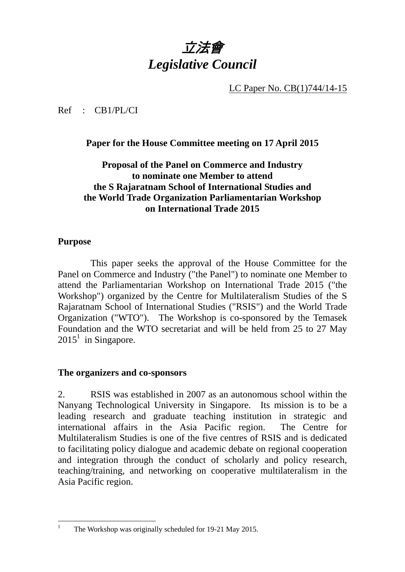# 立法會 *Legislative Council*

LC Paper No. CB(1)744/14-15

Ref : CB1/PL/CI

**Paper for the House Committee meeting on 17 April 2015** 

# **Proposal of the Panel on Commerce and Industry to nominate one Member to attend the S Rajaratnam School of International Studies and the World Trade Organization Parliamentarian Workshop on International Trade 2015**

### **Purpose**

 This paper seeks the approval of the House Committee for the Panel on Commerce and Industry ("the Panel") to nominate one Member to attend the Parliamentarian Workshop on International Trade 2015 ("the Workshop") organized by the Centre for Multilateralism Studies of the S Rajaratnam School of International Studies ("RSIS") and the World Trade Organization ("WTO"). The Workshop is co-sponsored by the Temasek Foundation and the WTO secretariat and will be held from 25 to 27 May  $2015<sup>1</sup>$  in Singapore.

### **The organizers and co-sponsors**

2. RSIS was established in 2007 as an autonomous school within the Nanyang Technological University in Singapore. Its mission is to be a leading research and graduate teaching institution in strategic and international affairs in the Asia Pacific region. The Centre for Multilateralism Studies is one of the five centres of RSIS and is dedicated to facilitating policy dialogue and academic debate on regional cooperation and integration through the conduct of scholarly and policy research, teaching/training, and networking on cooperative multilateralism in the Asia Pacific region.

 $\frac{1}{1}$ The Workshop was originally scheduled for 19-21 May 2015.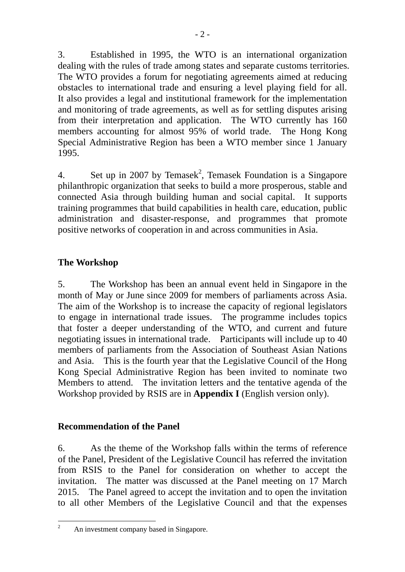3. Established in 1995, the WTO is an international organization dealing with the rules of trade among states and separate customs territories. The WTO provides a forum for negotiating agreements aimed at reducing obstacles to international trade and ensuring a level playing field for all. It also provides a legal and institutional framework for the implementation and monitoring of trade agreements, as well as for settling disputes arising from their interpretation and application. The WTO currently has 160 members accounting for almost 95% of world trade. The Hong Kong Special Administrative Region has been a WTO member since 1 January 1995.

4. Set up in 2007 by Temasek<sup>2</sup>, Temasek Foundation is a Singapore philanthropic organization that seeks to build a more prosperous, stable and connected Asia through building human and social capital. It supports training programmes that build capabilities in health care, education, public administration and disaster-response, and programmes that promote positive networks of cooperation in and across communities in Asia.

# **The Workshop**

5. The Workshop has been an annual event held in Singapore in the month of May or June since 2009 for members of parliaments across Asia. The aim of the Workshop is to increase the capacity of regional legislators to engage in international trade issues. The programme includes topics that foster a deeper understanding of the WTO, and current and future negotiating issues in international trade. Participants will include up to 40 members of parliaments from the Association of Southeast Asian Nations and Asia. This is the fourth year that the Legislative Council of the Hong Kong Special Administrative Region has been invited to nominate two Members to attend. The invitation letters and the tentative agenda of the Workshop provided by RSIS are in **Appendix I** (English version only).

# **Recommendation of the Panel**

6. As the theme of the Workshop falls within the terms of reference of the Panel, President of the Legislative Council has referred the invitation from RSIS to the Panel for consideration on whether to accept the invitation. The matter was discussed at the Panel meeting on 17 March 2015. The Panel agreed to accept the invitation and to open the invitation to all other Members of the Legislative Council and that the expenses

 $\frac{1}{2}$ An investment company based in Singapore.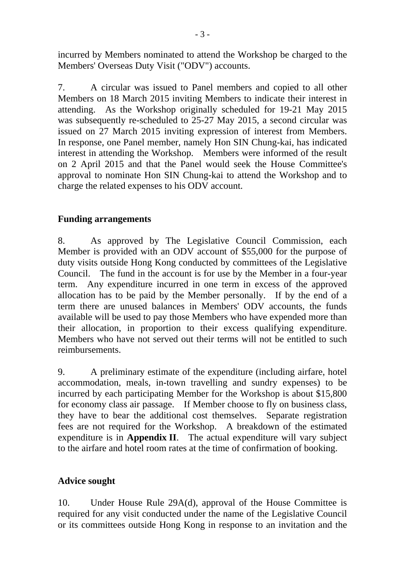incurred by Members nominated to attend the Workshop be charged to the Members' Overseas Duty Visit ("ODV") accounts.

7. A circular was issued to Panel members and copied to all other Members on 18 March 2015 inviting Members to indicate their interest in attending. As the Workshop originally scheduled for 19-21 May 2015 was subsequently re-scheduled to 25-27 May 2015, a second circular was issued on 27 March 2015 inviting expression of interest from Members. In response, one Panel member, namely Hon SIN Chung-kai, has indicated interest in attending the Workshop. Members were informed of the result on 2 April 2015 and that the Panel would seek the House Committee's approval to nominate Hon SIN Chung-kai to attend the Workshop and to charge the related expenses to his ODV account.

### **Funding arrangements**

8. As approved by The Legislative Council Commission, each Member is provided with an ODV account of \$55,000 for the purpose of duty visits outside Hong Kong conducted by committees of the Legislative Council. The fund in the account is for use by the Member in a four-year term. Any expenditure incurred in one term in excess of the approved allocation has to be paid by the Member personally. If by the end of a term there are unused balances in Members' ODV accounts, the funds available will be used to pay those Members who have expended more than their allocation, in proportion to their excess qualifying expenditure. Members who have not served out their terms will not be entitled to such reimbursements.

9. A preliminary estimate of the expenditure (including airfare, hotel accommodation, meals, in-town travelling and sundry expenses) to be incurred by each participating Member for the Workshop is about \$15,800 for economy class air passage. If Member choose to fly on business class, they have to bear the additional cost themselves. Separate registration fees are not required for the Workshop. A breakdown of the estimated expenditure is in **Appendix II**. The actual expenditure will vary subject to the airfare and hotel room rates at the time of confirmation of booking.

# **Advice sought**

10. Under House Rule 29A(d), approval of the House Committee is required for any visit conducted under the name of the Legislative Council or its committees outside Hong Kong in response to an invitation and the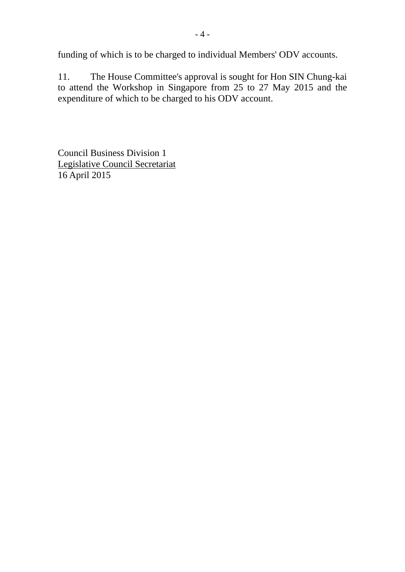funding of which is to be charged to individual Members' ODV accounts.

11. The House Committee's approval is sought for Hon SIN Chung-kai to attend the Workshop in Singapore from 25 to 27 May 2015 and the expenditure of which to be charged to his ODV account.

Council Business Division 1 Legislative Council Secretariat 16 April 2015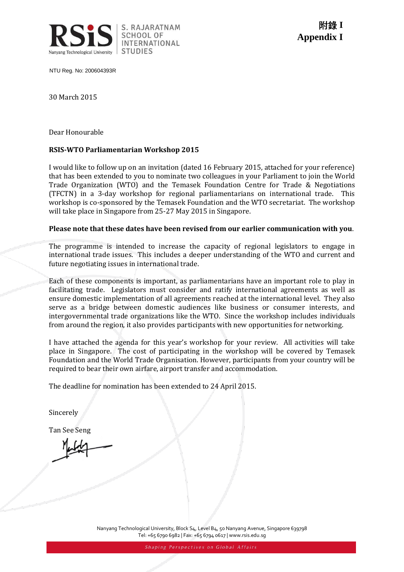

NTU Reg. No: 200604393R

30 March 2015

Dear Honourable

#### **RSIS-WTO Parliamentarian Workshop 2015**

I would like to follow up on an invitation (dated 16 February 2015, attached for your reference) that has been extended to you to nominate two colleagues in your Parliament to join the World Trade Organization (WTO) and the Temasek Foundation Centre for Trade & Negotiations (TFCTN) in a 3-day workshop for regional parliamentarians on international trade. This workshop is co-sponsored by the Temasek Foundation and the WTO secretariat. The workshop will take place in Singapore from 25-27 May 2015 in Singapore.

#### **Please note that these dates have been revised from our earlier communication with you**.

The programme is intended to increase the capacity of regional legislators to engage in international trade issues. This includes a deeper understanding of the WTO and current and future negotiating issues in international trade.

Each of these components is important, as parliamentarians have an important role to play in facilitating trade. Legislators must consider and ratify international agreements as well as ensure domestic implementation of all agreements reached at the international level. They also serve as a bridge between domestic audiences like business or consumer interests, and intergovernmental trade organizations like the WTO. Since the workshop includes individuals from around the region, it also provides participants with new opportunities for networking.

I have attached the agenda for this year's workshop for your review. All activities will take place in Singapore. The cost of participating in the workshop will be covered by Temasek Foundation and the World Trade Organisation. However, participants from your country will be required to bear their own airfare, airport transfer and accommodation.

The deadline for nomination has been extended to 24 April 2015.

Sincerely

Tan See Seng

Nanyang Technological University, Block S4, Level B4, 50 Nanyang Avenue, Singapore 639798 Tel: +65 6790 6982 | Fax: +65 6794 0617 | www.rsis.edu.sg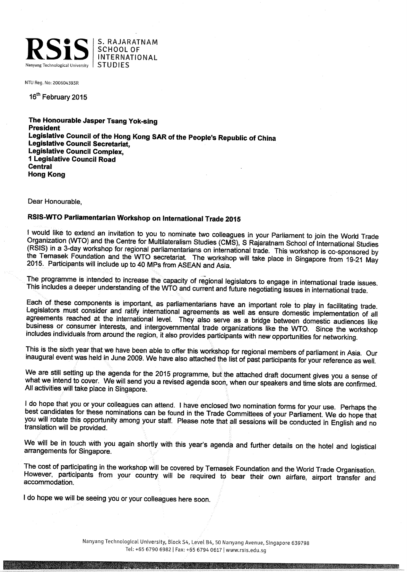

S. RAJARATNAM **SCHOOL OF INTERNATIONAL STUDIES** 

NTU Reg. No: 200604393R

16<sup>th</sup> February 2015

The Honourable Jasper Tsang Yok-sing **President** Legislative Council of the Hong Kong SAR of the People's Republic of China Legislative Council Secretariat, Legislative Council Complex, 1 Legislative Council Road **Central Hong Kong** 

Dear Honourable.

an an Britaine and an

#### RSIS-WTO Parliamentarian Workshop on International Trade 2015

I would like to extend an invitation to you to nominate two colleagues in your Parliament to join the World Trade Organization (WTO) and the Centre for Multilateralism Studies (CMS), S Rajaratnam School of International Studies (RSIS) in a 3-day workshop for regional parliamentarians on international trade. This workshop is co-sponsored by the Temasek Foundation and the WTO secretariat. The workshop will take place in Singapore from 19-21 May 2015. Participants will include up to 40 MPs from ASEAN and Asia.

The programme is intended to increase the capacity of regional legislators to engage in international trade issues. This includes a deeper understanding of the WTO and current and future negotiating issues in international trade.

Each of these components is important, as parliamentarians have an important role to play in facilitating trade. Legislators must consider and ratify international agreements as well as ensure domestic implementation of all agreements reached at the international level. They also serve as a bridge between domestic audiences like business or consumer interests, and intergovernmental trade organizations like the WTO. Since the workshop includes individuals from around the region, it also provides participants with new opportunities for networking.

This is the sixth year that we have been able to offer this workshop for regional members of parliament in Asia. Our inaugural event was held in June 2009. We have also attached the list of past participants for your reference as well.

We are still setting up the agenda for the 2015 programme, but the attached draft document gives you a sense of what we intend to cover. We will send you a revised agenda soon, when our speakers and time slots are confirmed. All activities will take place in Singapore.

I do hope that you or your colleagues can attend. I have enclosed two nomination forms for your use. Perhaps the best candidates for these nominations can be found in the Trade Committees of your Parliament. We do hope that you will rotate this opportunity among your staff. Please note that all sessions will be conducted in English and no translation will be provided.

We will be in touch with you again shortly with this year's agenda and further details on the hotel and logistical arrangements for Singapore.

The cost of participating in the workshop will be covered by Temasek Foundation and the World Trade Organisation. However, participants from your country will be required to bear their own airfare, airport transfer and accommodation.

I do hope we will be seeing you or your colleagues here soon.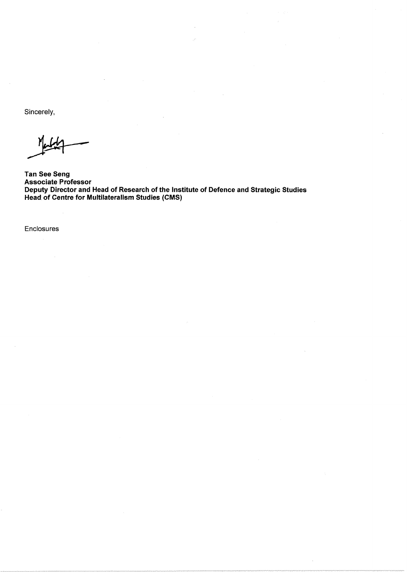Sincerely,

**Tan See Seng Associate Professor** Deputy Director and Head of Research of the Institute of Defence and Strategic Studies<br>Head of Centre for Multilateralism Studies (CMS)

Enclosures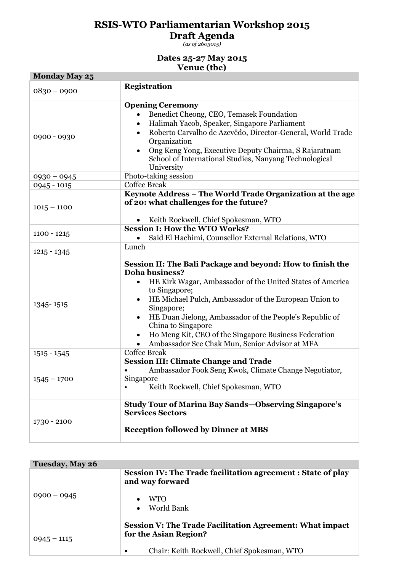# **RSIS-WTO Parliamentarian Workshop 2015**

**Draft Agenda**

*(as of 2603015)*

#### **Dates 25-27 May 2015 Venue (tbc)**

| <b>Monday May 25</b> | $\mathbf{u}$                                                                                                                                                                                                                                                                                                                                                                                                                                                   |  |  |
|----------------------|----------------------------------------------------------------------------------------------------------------------------------------------------------------------------------------------------------------------------------------------------------------------------------------------------------------------------------------------------------------------------------------------------------------------------------------------------------------|--|--|
|                      |                                                                                                                                                                                                                                                                                                                                                                                                                                                                |  |  |
| $0830 - 0900$        | <b>Registration</b>                                                                                                                                                                                                                                                                                                                                                                                                                                            |  |  |
| 0900 - 0930          | <b>Opening Ceremony</b><br>Benedict Cheong, CEO, Temasek Foundation<br>Halimah Yacob, Speaker, Singapore Parliament<br>Roberto Carvalho de Azevêdo, Director-General, World Trade<br>Organization<br>Ong Keng Yong, Executive Deputy Chairma, S Rajaratnam<br>School of International Studies, Nanyang Technological<br>University                                                                                                                             |  |  |
| $0930 - 0945$        | Photo-taking session                                                                                                                                                                                                                                                                                                                                                                                                                                           |  |  |
| $0945 - 1015$        | <b>Coffee Break</b>                                                                                                                                                                                                                                                                                                                                                                                                                                            |  |  |
| $1015 - 1100$        | Keynote Address - The World Trade Organization at the age<br>of 20: what challenges for the future?                                                                                                                                                                                                                                                                                                                                                            |  |  |
|                      | Keith Rockwell, Chief Spokesman, WTO                                                                                                                                                                                                                                                                                                                                                                                                                           |  |  |
| $1100 - 1215$        | <b>Session I: How the WTO Works?</b><br>Said El Hachimi, Counsellor External Relations, WTO<br>Lunch                                                                                                                                                                                                                                                                                                                                                           |  |  |
| $1215 - 1345$        |                                                                                                                                                                                                                                                                                                                                                                                                                                                                |  |  |
| 1345-1515            | Session II: The Bali Package and beyond: How to finish the<br><b>Doha business?</b><br>HE Kirk Wagar, Ambassador of the United States of America<br>to Singapore;<br>HE Michael Pulch, Ambassador of the European Union to<br>$\bullet$<br>Singapore;<br>HE Duan Jielong, Ambassador of the People's Republic of<br>China to Singapore<br>Ho Meng Kit, CEO of the Singapore Business Federation<br>$\bullet$<br>Ambassador See Chak Mun, Senior Advisor at MFA |  |  |
| $1515 - 1545$        | <b>Coffee Break</b>                                                                                                                                                                                                                                                                                                                                                                                                                                            |  |  |
| $1545 - 1700$        | <b>Session III: Climate Change and Trade</b><br>Ambassador Fook Seng Kwok, Climate Change Negotiator,<br>Singapore<br>Keith Rockwell, Chief Spokesman, WTO                                                                                                                                                                                                                                                                                                     |  |  |
| 1730 - 2100          | <b>Study Tour of Marina Bay Sands-Observing Singapore's</b><br><b>Services Sectors</b><br><b>Reception followed by Dinner at MBS</b>                                                                                                                                                                                                                                                                                                                           |  |  |

| Tuesday, May 26 |                                                                                                                                                      |  |  |
|-----------------|------------------------------------------------------------------------------------------------------------------------------------------------------|--|--|
| $0900 - 0945$   | <b>Session IV: The Trade facilitation agreement: State of play</b><br>and way forward<br><b>WTO</b><br>• World Bank                                  |  |  |
| $0945 - 1115$   | <b>Session V: The Trade Facilitation Agreement: What impact</b><br>for the Asian Region?<br>Chair: Keith Rockwell, Chief Spokesman, WTO<br>$\bullet$ |  |  |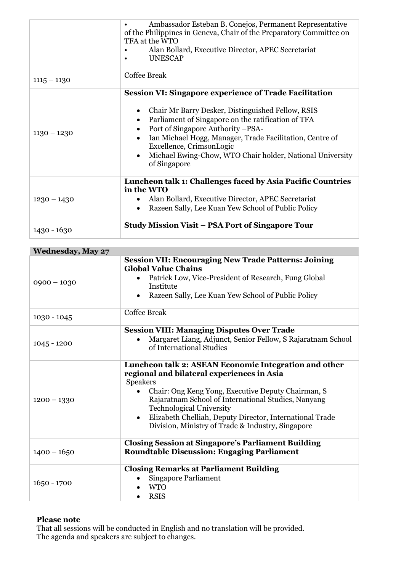|               | Ambassador Esteban B. Conejos, Permanent Representative<br>of the Philippines in Geneva, Chair of the Preparatory Committee on<br>TFA at the WTO<br>Alan Bollard, Executive Director, APEC Secretariat<br><b>UNESCAP</b>                                                                                                                                                                             |  |
|---------------|------------------------------------------------------------------------------------------------------------------------------------------------------------------------------------------------------------------------------------------------------------------------------------------------------------------------------------------------------------------------------------------------------|--|
| $1115 - 1130$ | <b>Coffee Break</b>                                                                                                                                                                                                                                                                                                                                                                                  |  |
| $1130 - 1230$ | <b>Session VI: Singapore experience of Trade Facilitation</b><br>Chair Mr Barry Desker, Distinguished Fellow, RSIS<br>Parliament of Singapore on the ratification of TFA<br>٠<br>Port of Singapore Authority -PSA-<br>Ian Michael Hogg, Manager, Trade Facilitation, Centre of<br>Excellence, CrimsonLogic<br>Michael Ewing-Chow, WTO Chair holder, National University<br>$\bullet$<br>of Singapore |  |
| $1230 - 1430$ | Luncheon talk 1: Challenges faced by Asia Pacific Countries<br>in the WTO<br>Alan Bollard, Executive Director, APEC Secretariat<br>Razeen Sally, Lee Kuan Yew School of Public Policy                                                                                                                                                                                                                |  |
| $1430 - 1630$ | <b>Study Mission Visit – PSA Port of Singapore Tour</b>                                                                                                                                                                                                                                                                                                                                              |  |

| <b>Wednesday, May 27</b> |                                                                                                                                                                                                                                                                                                                                                                                                      |  |
|--------------------------|------------------------------------------------------------------------------------------------------------------------------------------------------------------------------------------------------------------------------------------------------------------------------------------------------------------------------------------------------------------------------------------------------|--|
| $0900 - 1030$            | <b>Session VII: Encouraging New Trade Patterns: Joining</b><br><b>Global Value Chains</b><br>Patrick Low, Vice-President of Research, Fung Global<br>Institute<br>Razeen Sally, Lee Kuan Yew School of Public Policy<br>٠                                                                                                                                                                            |  |
| $1030 - 1045$            | <b>Coffee Break</b>                                                                                                                                                                                                                                                                                                                                                                                  |  |
| $1045 - 1200$            | <b>Session VIII: Managing Disputes Over Trade</b><br>Margaret Liang, Adjunct, Senior Fellow, S Rajaratnam School<br>of International Studies                                                                                                                                                                                                                                                         |  |
| $1200 - 1330$            | Luncheon talk 2: ASEAN Economic Integration and other<br>regional and bilateral experiences in Asia<br><b>Speakers</b><br>Chair: Ong Keng Yong, Executive Deputy Chairman, S<br>Rajaratnam School of International Studies, Nanyang<br><b>Technological University</b><br>Elizabeth Chelliah, Deputy Director, International Trade<br>$\bullet$<br>Division, Ministry of Trade & Industry, Singapore |  |
| $1400 - 1650$            | <b>Closing Session at Singapore's Parliament Building</b><br><b>Roundtable Discussion: Engaging Parliament</b>                                                                                                                                                                                                                                                                                       |  |
| $1650 - 1700$            | <b>Closing Remarks at Parliament Building</b><br><b>Singapore Parliament</b><br><b>WTO</b><br><b>RSIS</b>                                                                                                                                                                                                                                                                                            |  |

#### **Please note**

That all sessions will be conducted in English and no translation will be provided. The agenda and speakers are subject to changes.